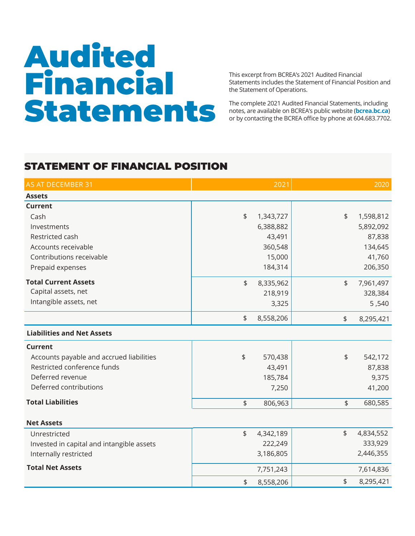## Audited Financial Statements

This excerpt from BCREA's 2021 Audited Financial Statements includes the Statement of Financial Position and the Statement of Operations.

The complete 2021 Audited Financial Statements, including notes, are available on BCREA's public website (**bcrea.bc.ca**) or by contacting the BCREA office by phone at 604.683.7702.

## STATEMENT OF FINANCIAL POSITION

| AS AT DECEMBER 31                         |                | 2021      |               | 2020      |
|-------------------------------------------|----------------|-----------|---------------|-----------|
| <b>Assets</b>                             |                |           |               |           |
| <b>Current</b>                            |                |           |               |           |
| Cash                                      | $\frac{1}{2}$  | 1,343,727 | $\frac{1}{2}$ | 1,598,812 |
| Investments                               |                | 6,388,882 |               | 5,892,092 |
| Restricted cash                           |                | 43,491    |               | 87,838    |
| Accounts receivable                       |                | 360,548   |               | 134,645   |
| Contributions receivable                  |                | 15,000    |               | 41,760    |
| Prepaid expenses                          |                | 184,314   |               | 206,350   |
| <b>Total Current Assets</b>               | \$             | 8,335,962 | $\frac{1}{2}$ | 7,961,497 |
| Capital assets, net                       |                | 218,919   |               | 328,384   |
| Intangible assets, net                    |                | 3,325     |               | 5,540     |
|                                           | \$             | 8,558,206 | \$            | 8,295,421 |
| <b>Liabilities and Net Assets</b>         |                |           |               |           |
| <b>Current</b>                            |                |           |               |           |
| Accounts payable and accrued liabilities  | $\updownarrow$ | 570,438   | \$            | 542,172   |
| Restricted conference funds               |                | 43,491    |               | 87,838    |
| Deferred revenue                          |                | 185,784   |               | 9,375     |
| Deferred contributions                    |                | 7,250     |               | 41,200    |
| <b>Total Liabilities</b>                  | \$             | 806,963   | \$            | 680,585   |
|                                           |                |           |               |           |
| <b>Net Assets</b>                         |                |           |               |           |
| Unrestricted                              | \$             | 4,342,189 | \$            | 4,834,552 |
| Invested in capital and intangible assets |                | 222,249   |               | 333,929   |
| Internally restricted                     |                | 3,186,805 |               | 2,446,355 |
| <b>Total Net Assets</b>                   |                | 7,751,243 |               | 7,614,836 |
|                                           | \$             | 8,558,206 | \$            | 8,295,421 |